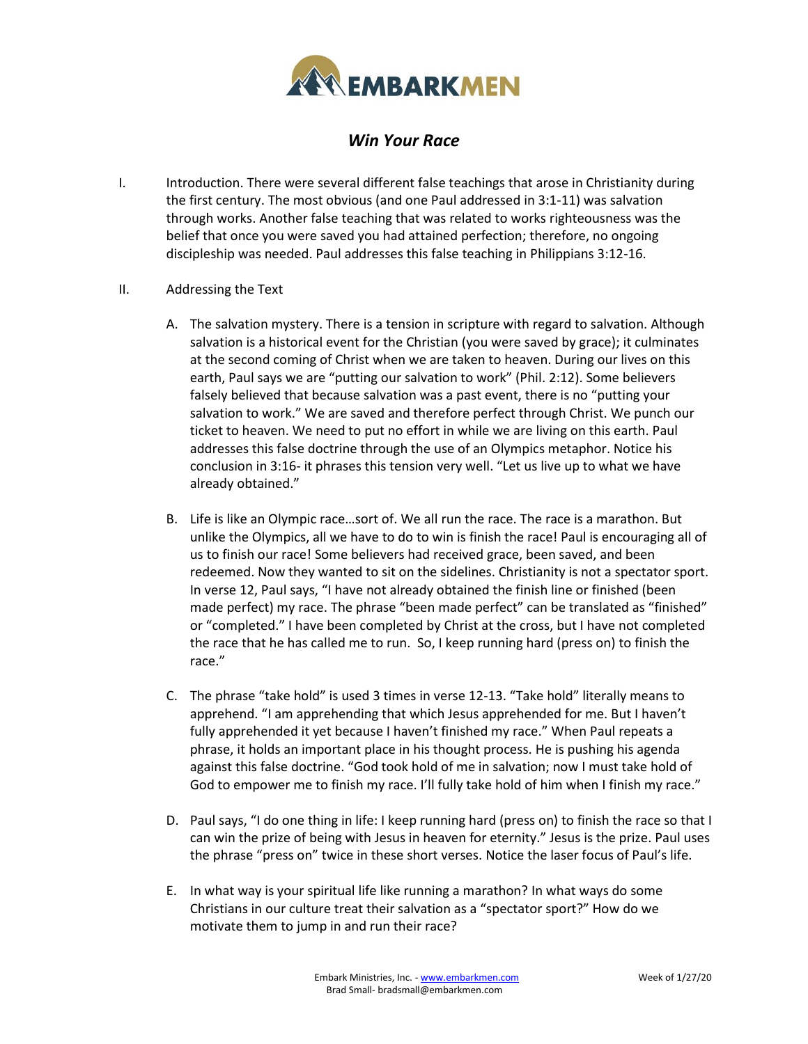

## *Win Your Race*

- I. Introduction. There were several different false teachings that arose in Christianity during the first century. The most obvious (and one Paul addressed in 3:1-11) was salvation through works. Another false teaching that was related to works righteousness was the belief that once you were saved you had attained perfection; therefore, no ongoing discipleship was needed. Paul addresses this false teaching in Philippians 3:12-16.
- II. Addressing the Text
	- A. The salvation mystery. There is a tension in scripture with regard to salvation. Although salvation is a historical event for the Christian (you were saved by grace); it culminates at the second coming of Christ when we are taken to heaven. During our lives on this earth, Paul says we are "putting our salvation to work" (Phil. 2:12). Some believers falsely believed that because salvation was a past event, there is no "putting your salvation to work." We are saved and therefore perfect through Christ. We punch our ticket to heaven. We need to put no effort in while we are living on this earth. Paul addresses this false doctrine through the use of an Olympics metaphor. Notice his conclusion in 3:16- it phrases this tension very well. "Let us live up to what we have already obtained."
	- B. Life is like an Olympic race…sort of. We all run the race. The race is a marathon. But unlike the Olympics, all we have to do to win is finish the race! Paul is encouraging all of us to finish our race! Some believers had received grace, been saved, and been redeemed. Now they wanted to sit on the sidelines. Christianity is not a spectator sport. In verse 12, Paul says, "I have not already obtained the finish line or finished (been made perfect) my race. The phrase "been made perfect" can be translated as "finished" or "completed." I have been completed by Christ at the cross, but I have not completed the race that he has called me to run. So, I keep running hard (press on) to finish the race."
	- C. The phrase "take hold" is used 3 times in verse 12-13. "Take hold" literally means to apprehend. "I am apprehending that which Jesus apprehended for me. But I haven't fully apprehended it yet because I haven't finished my race." When Paul repeats a phrase, it holds an important place in his thought process. He is pushing his agenda against this false doctrine. "God took hold of me in salvation; now I must take hold of God to empower me to finish my race. I'll fully take hold of him when I finish my race."
	- D. Paul says, "I do one thing in life: I keep running hard (press on) to finish the race so that I can win the prize of being with Jesus in heaven for eternity." Jesus is the prize. Paul uses the phrase "press on" twice in these short verses. Notice the laser focus of Paul's life.
	- E. In what way is your spiritual life like running a marathon? In what ways do some Christians in our culture treat their salvation as a "spectator sport?" How do we motivate them to jump in and run their race?